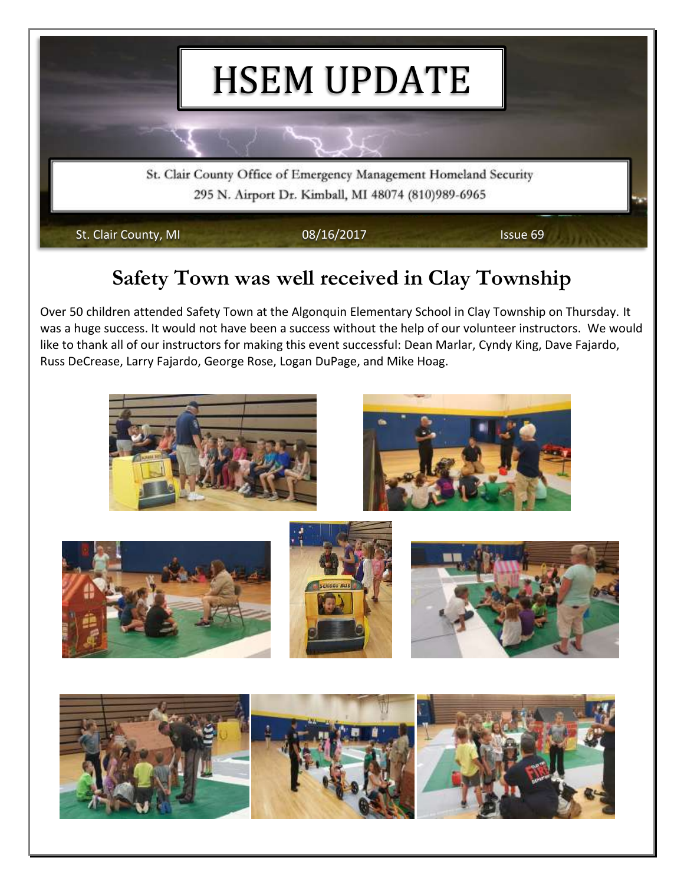

## **Safety Town was well received in Clay Township**

Over 50 children attended Safety Town at the Algonquin Elementary School in Clay Township on Thursday. It was a huge success. It would not have been a success without the help of our volunteer instructors. We would like to thank all of our instructors for making this event successful: Dean Marlar, Cyndy King, Dave Fajardo, Russ DeCrease, Larry Fajardo, George Rose, Logan DuPage, and Mike Hoag.

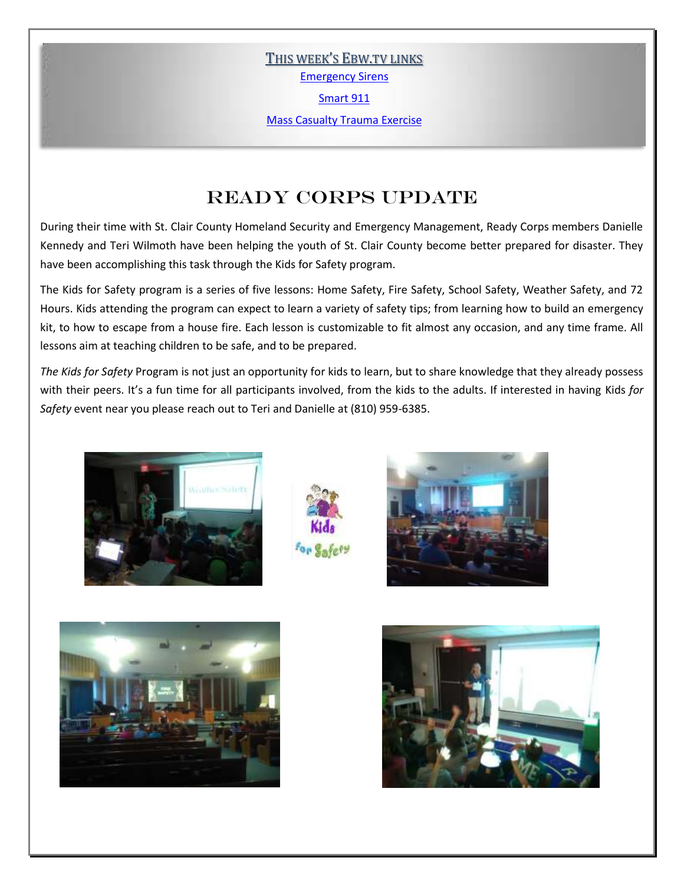THIS WEEK'S EBW.TV LINKS

[Emergency Sirens](http://ebw.tv/did-you-hear-emergency-sirens/)

[Smart 911](http://ebw.tv/smart-911/)

[Mass Casualty Trauma Exercise](http://ebw.tv/mass-causality-training-for-local-emergency-crews-prepares-for-potential-future-situations/)

### Ready Corps Update

During their time with St. Clair County Homeland Security and Emergency Management, Ready Corps members Danielle Kennedy and Teri Wilmoth have been helping the youth of St. Clair County become better prepared for disaster. They have been accomplishing this task through the Kids for Safety program.

The Kids for Safety program is a series of five lessons: Home Safety, Fire Safety, School Safety, Weather Safety, and 72 Hours. Kids attending the program can expect to learn a variety of safety tips; from learning how to build an emergency kit, to how to escape from a house fire. Each lesson is customizable to fit almost any occasion, and any time frame. All lessons aim at teaching children to be safe, and to be prepared.

*The Kids for Safety* Program is not just an opportunity for kids to learn, but to share knowledge that they already possess with their peers. It's a fun time for all participants involved, from the kids to the adults. If interested in having Kids *for Safety* event near you please reach out to Teri and Danielle at (810) 959-6385.









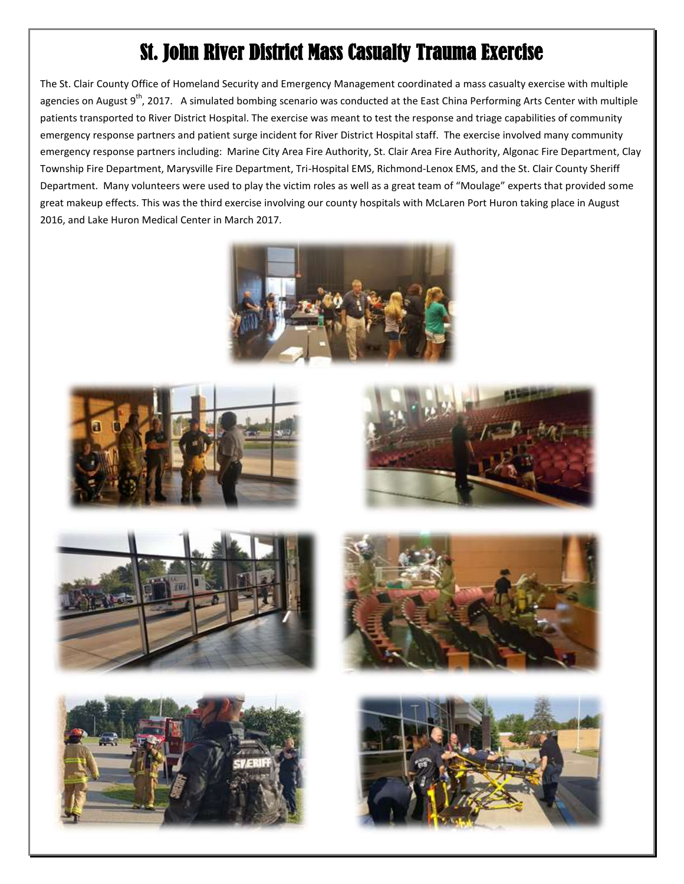# St. John River District Mass Casualty Trauma Exercise

The St. Clair County Office of Homeland Security and Emergency Management coordinated a mass casualty exercise with multiple agencies on August  $9<sup>th</sup>$ , 2017. A simulated bombing scenario was conducted at the East China Performing Arts Center with multiple patients transported to River District Hospital. The exercise was meant to test the response and triage capabilities of community emergency response partners and patient surge incident for River District Hospital staff. The exercise involved many community emergency response partners including: Marine City Area Fire Authority, St. Clair Area Fire Authority, Algonac Fire Department, Clay Township Fire Department, Marysville Fire Department, Tri-Hospital EMS, Richmond-Lenox EMS, and the St. Clair County Sheriff Department. Many volunteers were used to play the victim roles as well as a great team of "Moulage" experts that provided some great makeup effects. This was the third exercise involving our county hospitals with McLaren Port Huron taking place in August 2016, and Lake Huron Medical Center in March 2017.